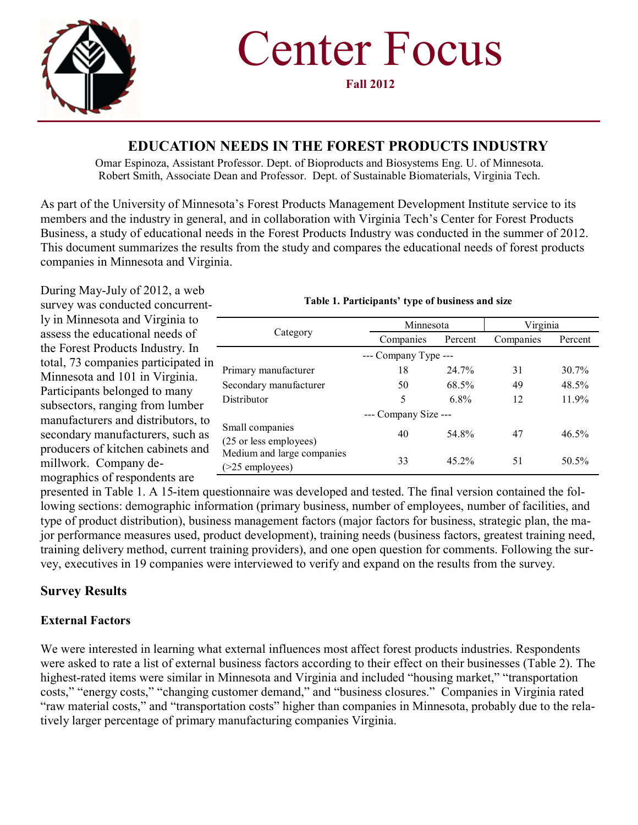

**Fall 2012**

### **EDUCATION NEEDS IN THE FOREST PRODUCTS INDUSTRY**

Omar Espinoza, Assistant Professor. Dept. of Bioproducts and Biosystems Eng. U. of Minnesota. Robert Smith, Associate Dean and Professor. Dept. of Sustainable Biomaterials, Virginia Tech.

As part of the University of Minnesota's Forest Products Management Development Institute service to its members and the industry in general, and in collaboration with Virginia Tech's Center for Forest Products Business, a study of educational needs in the Forest Products Industry was conducted in the summer of 2012. This document summarizes the results from the study and compares the educational needs of forest products companies in Minnesota and Virginia.

During May-July of 2012, a web survey was conducted concurrently in Minnesota and Virginia to assess the educational needs of the Forest Products Industry. In total, 73 companies participated in Minnesota and 101 in Virginia. Participants belonged to many subsectors, ranging from lumber manufacturers and distributors, to secondary manufacturers, such as producers of kitchen cabinets and millwork. Company demographics of respondents are

| Category                                            | Minnesota            |         | Virginia  |         |  |
|-----------------------------------------------------|----------------------|---------|-----------|---------|--|
|                                                     | Companies            | Percent | Companies | Percent |  |
|                                                     | --- Company Type --- |         |           |         |  |
| Primary manufacturer                                | 18                   | 24.7%   | 31        | 30.7%   |  |
| Secondary manufacturer                              | 50                   | 68.5%   | 49        | 48.5%   |  |
| Distributor                                         | 5                    | 6.8%    | 12        | 11.9%   |  |
|                                                     | --- Company Size --- |         |           |         |  |
| Small companies<br>(25 or less employees)           | 40                   | 54.8%   | 47        | 46.5%   |  |
| Medium and large companies<br>$($ >25 employees $)$ | 33                   | 45.2%   | 51        | 50.5%   |  |

#### **Table 1. Participants' type of business and size**

presented in Table 1. A 15-item questionnaire was developed and tested. The final version contained the following sections: demographic information (primary business, number of employees, number of facilities, and type of product distribution), business management factors (major factors for business, strategic plan, the major performance measures used, product development), training needs (business factors, greatest training need, training delivery method, current training providers), and one open question for comments. Following the survey, executives in 19 companies were interviewed to verify and expand on the results from the survey.

### **Survey Results**

#### **External Factors**

We were interested in learning what external influences most affect forest products industries. Respondents were asked to rate a list of external business factors according to their effect on their businesses (Table 2). The highest-rated items were similar in Minnesota and Virginia and included "housing market," "transportation costs," "energy costs," "changing customer demand," and "business closures." Companies in Virginia rated "raw material costs," and "transportation costs" higher than companies in Minnesota, probably due to the relatively larger percentage of primary manufacturing companies Virginia.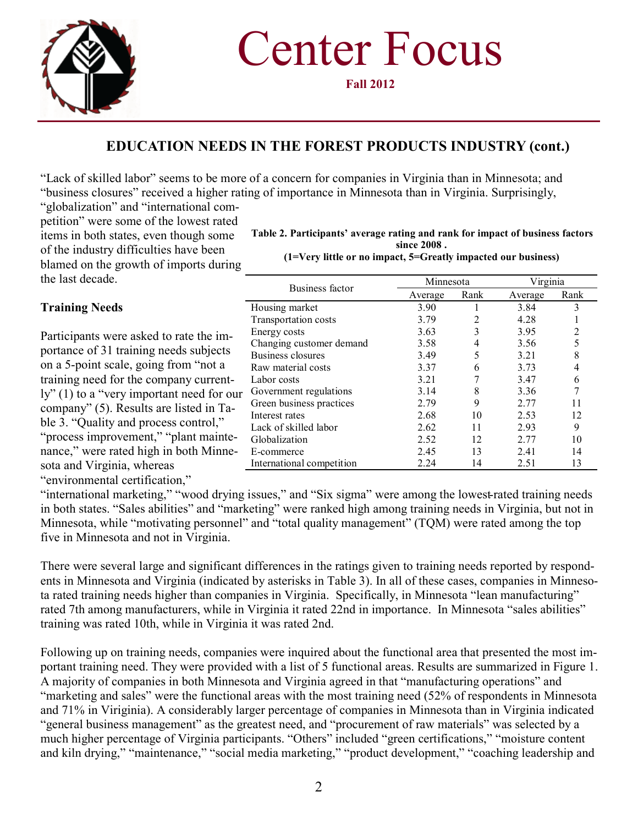

**Fall 2012**

# **EDUCATION NEEDS IN THE FOREST PRODUCTS INDUSTRY (cont.)**

"Lack of skilled labor" seems to be more of a concern for companies in Virginia than in Minnesota; and "business closures" received a higher rating of importance in Minnesota than in Virginia. Surprisingly,

"globalization" and "international competition" were some of the lowest rated items in both states, even though some of the industry difficulties have been blamed on the growth of imports during the last decade.

#### **Training Needs**

Participants were asked to rate the importance of 31 training needs subjects on a 5-point scale, going from "not a training need for the company currently" (1) to a "very important need for our company" (5). Results are listed in Table 3. "Quality and process control," "process improvement," "plant maintenance," were rated high in both Minnesota and Virginia, whereas

**Table 2. Participants' average rating and rank for impact of business factors since 2008 .**

**(1=Very little or no impact, 5=Greatly impacted our business)**

| Business factor           | Minnesota |      | Virginia |      |
|---------------------------|-----------|------|----------|------|
|                           | Average   | Rank | Average  | Rank |
| Housing market            | 3.90      |      | 3.84     | 3    |
| Transportation costs      | 3.79      | 2    | 4.28     |      |
| Energy costs              | 3.63      | 3    | 3.95     | 2    |
| Changing customer demand  | 3.58      | 4    | 3.56     | 5    |
| Business closures         | 3.49      | 5    | 3.21     | 8    |
| Raw material costs        | 3.37      | 6    | 3.73     |      |
| Labor costs               | 3.21      |      | 3.47     | 6    |
| Government regulations    | 3.14      | 8    | 3.36     |      |
| Green business practices  | 2.79      | 9    | 2.77     |      |
| Interest rates            | 2.68      | 10   | 2.53     | 12   |
| Lack of skilled labor     | 2.62      | 11   | 2.93     | 9    |
| Globalization             | 2.52      | 12   | 2.77     | 10   |
| E-commerce                | 2.45      | 13   | 2.41     | 14   |
| International competition | 2.24      | 14   | 2.51     | 13   |

"environmental certification,"

"international marketing," "wood drying issues," and "Six sigma" were among the lowest-rated training needs in both states. "Sales abilities" and "marketing" were ranked high among training needs in Virginia, but not in Minnesota, while "motivating personnel" and "total quality management" (TQM) were rated among the top five in Minnesota and not in Virginia.

There were several large and significant differences in the ratings given to training needs reported by respondents in Minnesota and Virginia (indicated by asterisks in Table 3). In all of these cases, companies in Minnesota rated training needs higher than companies in Virginia. Specifically, in Minnesota "lean manufacturing" rated 7th among manufacturers, while in Virginia it rated 22nd in importance. In Minnesota "sales abilities" training was rated 10th, while in Virginia it was rated 2nd.

Following up on training needs, companies were inquired about the functional area that presented the most important training need. They were provided with a list of 5 functional areas. Results are summarized in Figure 1. A majority of companies in both Minnesota and Virginia agreed in that "manufacturing operations" and "marketing and sales" were the functional areas with the most training need (52% of respondents in Minnesota and 71% in Viriginia). A considerably larger percentage of companies in Minnesota than in Virginia indicated "general business management" as the greatest need, and "procurement of raw materials" was selected by a much higher percentage of Virginia participants. "Others" included "green certifications," "moisture content and kiln drying," "maintenance," "social media marketing," "product development," "coaching leadership and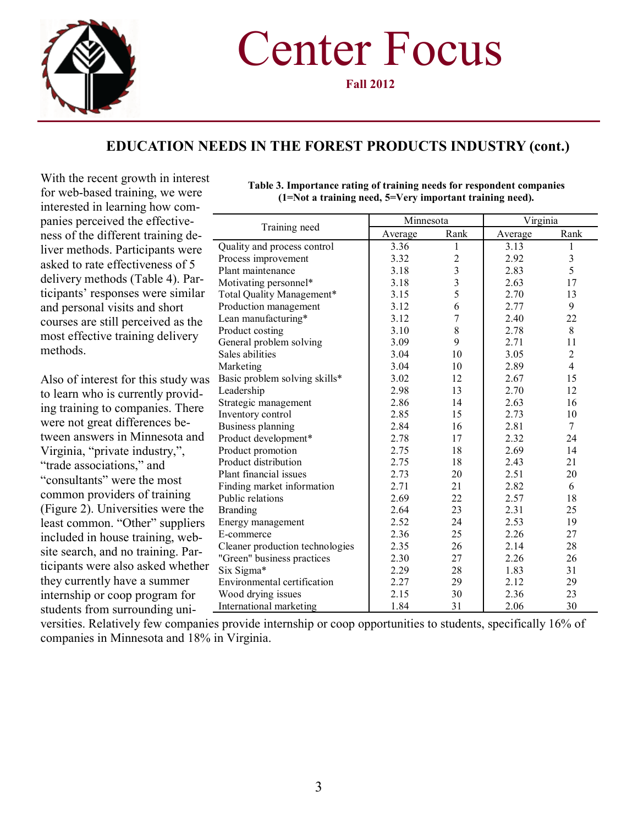

**Fall 2012**

## **EDUCATION NEEDS IN THE FOREST PRODUCTS INDUSTRY (cont.)**

With the recent growth in interest for web-based training, we were interested in learning how companies perceived the effectiveness of the different training deliver methods. Participants we asked to rate effectiveness of : delivery methods (Table 4). Pa ticipants' responses were simil and personal visits and short courses are still perceived as the most effective training deliver methods.

Also of interest for this study to learn who is currently provi ing training to companies. The were not great differences between answers in Minnesota and Virginia, "private industry,", "trade associations," and "consultants" were the most common providers of training (Figure 2). Universities were  $t$ least common. "Other" supplier included in house training, we site search, and no training. Pa ticipants were also asked whet they currently have a summer internship or coop program for students from surrounding uni-

|      |                                 | Minnesota |                         | Virginia |                |  |
|------|---------------------------------|-----------|-------------------------|----------|----------------|--|
| le-  | Training need                   | Average   | Rank                    | Average  | Rank           |  |
| ere  | Quality and process control     | 3.36      | 1                       | 3.13     | 1              |  |
| 5    | Process improvement             | 3.32      | $\overline{c}$          | 2.92     | $\mathfrak{Z}$ |  |
|      | Plant maintenance               | 3.18      | $\overline{\mathbf{3}}$ | 2.83     | 5              |  |
| ar-  | Motivating personnel*           | 3.18      | 3                       | 2.63     | 17             |  |
| lar  | Total Quality Management*       | 3.15      | 5                       | 2.70     | 13             |  |
|      | Production management           | 3.12      | 6                       | 2.77     | 9              |  |
| he   | Lean manufacturing*             | 3.12      | 7                       | 2.40     | 22             |  |
|      | Product costing                 | 3.10      | 8                       | 2.78     | 8              |  |
| :y   | General problem solving         | 3.09      | 9                       | 2.71     | 11             |  |
|      | Sales abilities                 | 3.04      | 10                      | 3.05     | $\sqrt{2}$     |  |
|      | Marketing                       | 3.04      | 10                      | 2.89     | $\overline{4}$ |  |
| was  | Basic problem solving skills*   | 3.02      | 12                      | 2.67     | 15             |  |
| id-  | Leadership                      | 2.98      | 13                      | 2.70     | 12             |  |
|      | Strategic management            | 2.86      | 14                      | 2.63     | 16             |  |
| ere  | Inventory control               | 2.85      | 15                      | 2.73     | 10             |  |
|      | Business planning               | 2.84      | 16                      | 2.81     | $\tau$         |  |
| ınd  | Product development*            | 2.78      | 17                      | 2.32     | 24             |  |
|      | Product promotion               | 2.75      | 18                      | 2.69     | 14             |  |
|      | Product distribution            | 2.75      | 18                      | 2.43     | 21             |  |
|      | Plant financial issues          | 2.73      | 20                      | 2.51     | 20             |  |
|      | Finding market information      | 2.71      | 21                      | 2.82     | 6              |  |
|      | Public relations                | 2.69      | 22                      | 2.57     | 18             |  |
| the  | <b>Branding</b>                 | 2.64      | 23                      | 2.31     | 25             |  |
| ers  | Energy management               | 2.52      | 24                      | 2.53     | 19             |  |
| b-   | E-commerce                      | 2.36      | 25                      | 2.26     | 27             |  |
|      | Cleaner production technologies | 2.35      | 26                      | 2.14     | 28             |  |
| ar-  | "Green" business practices      | 2.30      | 27                      | 2.26     | 26             |  |
| ther | Six Sigma*                      | 2.29      | 28                      | 1.83     | 31             |  |
|      | Environmental certification     | 2.27      | 29                      | 2.12     | 29             |  |
|      | Wood drying issues              | 2.15      | 30                      | 2.36     | 23             |  |
|      | International marketing         | 1.84      | 31                      | 2.06     | 30             |  |

**Table 3. Importance rating of training needs for respondent companies (1=Not a training need, 5=Very important training need).**

versities. Relatively few companies provide internship or coop opportunities to students, specifically 16% of companies in Minnesota and 18% in Virginia.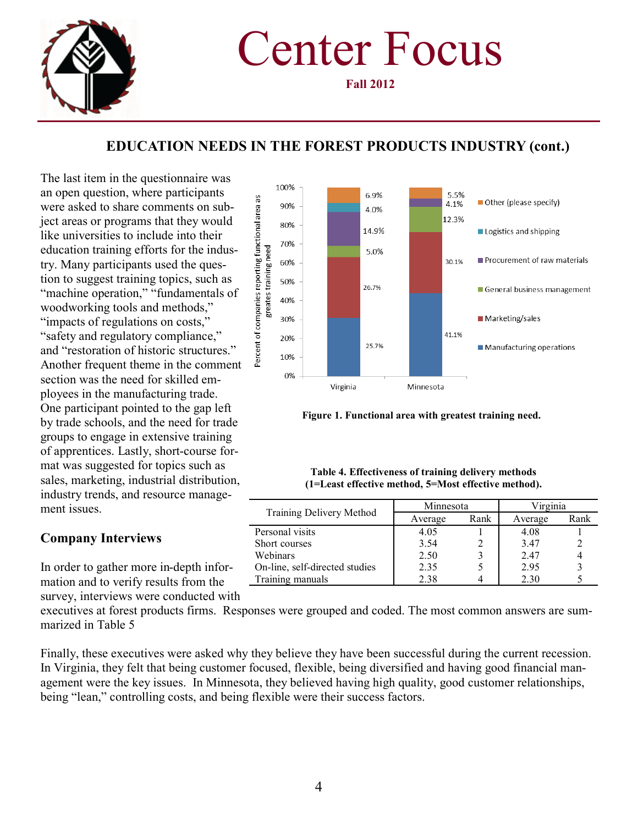

**Fall 2012**

# **EDUCATION NEEDS IN THE FOREST PRODUCTS INDUSTRY (cont.)**

The last item in the questionnaire was an open question, where participants were asked to share comments on subject areas or programs that they would like universities to include into their education training efforts for the industry. Many participants used the question to suggest training topics, such as "machine operation," "fundamentals of woodworking tools and methods," "impacts of regulations on costs," "safety and regulatory compliance," and "restoration of historic structures." Another frequent theme in the comment section was the need for skilled employees in the manufacturing trade. One participant pointed to the gap left by trade schools, and the need for trade groups to engage in extensive training of apprentices. Lastly, short-course format was suggested for topics such as sales, marketing, industrial distribution, industry trends, and resource management issues.

### **Company Interviews**

In order to gather more in-depth information and to verify results from the survey, interviews were conducted with



**Figure 1. Functional area with greatest training need.**

| Table 4. Effectiveness of training delivery methods  |  |
|------------------------------------------------------|--|
| (1=Least effective method, 5=Most effective method). |  |

| Minnesota |      | Virginia |      |
|-----------|------|----------|------|
| Average   | Rank | Average  | Rank |
| 4.05      |      | 4.08     |      |
| 3.54      |      | 3.47     |      |
| 2.50      |      | 2.47     |      |
| 2.35      |      | 2.95     |      |
| 2.38      |      | 2.30     |      |
|           |      |          |      |

executives at forest products firms. Responses were grouped and coded. The most common answers are summarized in Table 5

Finally, these executives were asked why they believe they have been successful during the current recession. In Virginia, they felt that being customer focused, flexible, being diversified and having good financial management were the key issues. In Minnesota, they believed having high quality, good customer relationships, being "lean," controlling costs, and being flexible were their success factors.